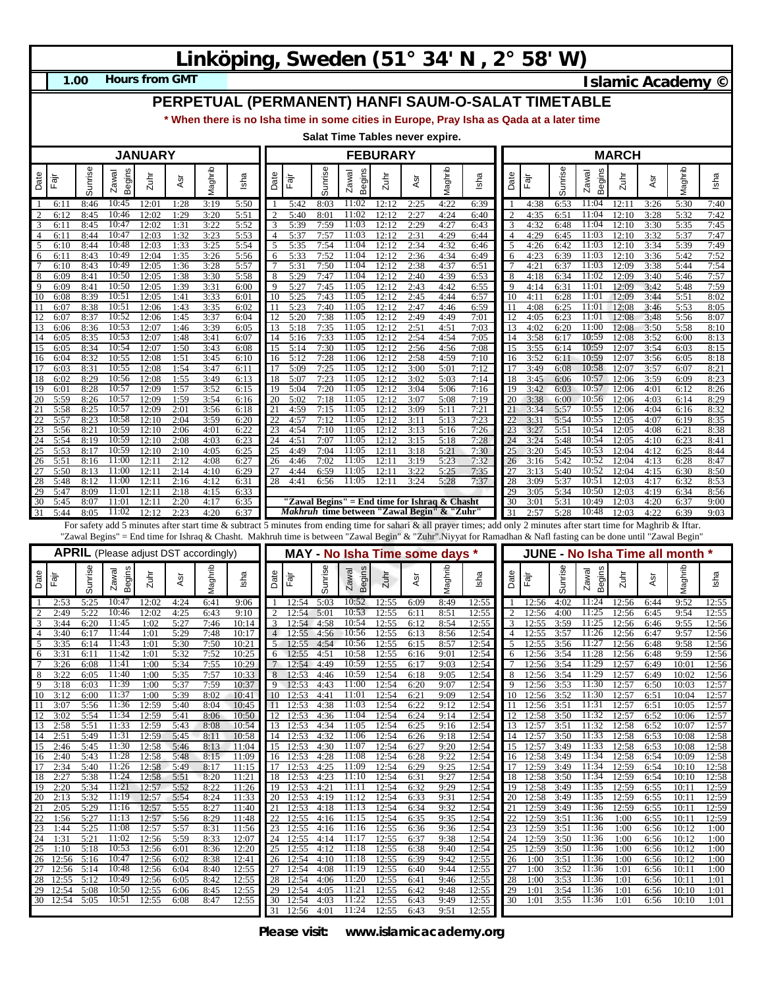## **Linköping, Sweden (51° 34' N , 2° 58' W)**

**1.00**

**Hours from GMT Islamic Academy ©** 

## **PERPETUAL (PERMANENT) HANFI SAUM-O-SALAT TIMETABLE**

**\* When there is no Isha time in some cities in Europe, Pray Isha as Qada at a later time**

**Salat Time Tables never expire.**

| <b>JANUARY</b> |                      |              |                                              |                |              |              |                | <b>FEBURARY</b> |                      |              |                                               |                |              | <b>MARCH</b> |                                                                                                                                                                                                                                                                                                                                             |                     |                |              |                        |                |              |                               |                |
|----------------|----------------------|--------------|----------------------------------------------|----------------|--------------|--------------|----------------|-----------------|----------------------|--------------|-----------------------------------------------|----------------|--------------|--------------|---------------------------------------------------------------------------------------------------------------------------------------------------------------------------------------------------------------------------------------------------------------------------------------------------------------------------------------------|---------------------|----------------|--------------|------------------------|----------------|--------------|-------------------------------|----------------|
| Date           | Fajr                 | unrise<br>w  | Begins<br>Zawal                              | Zuhr           | Asr          | Maghrib      | Isha           | Date            | Fajr                 | Sunrise      | Begins<br>Zawal                               | Zuhr           | Asr          | Maghrib      | Isha                                                                                                                                                                                                                                                                                                                                        | Date                | Fajr           | Sunrise      | <b>Begins</b><br>Zawal | 2uhr           | Asr          | Maghrib                       | Isha           |
|                | 6:11                 | 8:46         | 10:45                                        | 12:01          | 1:28         | 3:19         | 5:50           |                 | 5:42                 | 8:03         | 11:02                                         | 12:12          | 2:25         | 4:22         | 6:39                                                                                                                                                                                                                                                                                                                                        |                     | 4:38           | 6:53         | 11:04                  | 12:11          | 3:26         | 5:30                          | 7:40           |
| 2<br>3         | 6:12<br>6:11         | 8:45<br>8:45 | 10:46<br>10:47                               | 12:02<br>12:02 | 1:29<br>1:31 | 3:20<br>3:22 | 5:51<br>5:52   | 3               | 5:40<br>5:39         | 8:01<br>7:59 | 11:02<br>11:03                                | 12:12<br>12:12 | 2:27<br>2:29 | 4:24<br>4:27 | 6:40                                                                                                                                                                                                                                                                                                                                        | $\overline{2}$<br>3 | 4:35<br>4:32   | 6:51<br>6:48 | 11:04<br>11:04         | 12:10<br>12:10 | 3:28<br>3:30 | 5:32<br>5:35                  | 7:42<br>7:45   |
| 4              | 6:11                 | 8:44         | 10:47                                        | 12:03          | 1:32         | 3:23         | 5:53           | 4               | 5:37                 | 7:57         | 11:03                                         | 12:12          | 2:31         | 4:29         | 6:43<br>6:44                                                                                                                                                                                                                                                                                                                                | $\overline{4}$      | 4:29           | 6:45         | 11:03                  | 12:10          | 3:32         | 5:37                          | 7:47           |
| 5              | 6:10                 | 8:44         | 10:48                                        | 12:03          | 1:33         | 3:25         | 5:54           | 5               | 5:35                 | 7:54         | 11:04                                         | 12:12          | 2:34         | 4:32         | 6:46                                                                                                                                                                                                                                                                                                                                        | 5                   | 4:26           | 6:42         | 11:03                  | 12:10          | 3:34         | 5:39                          | 7:49           |
| 6<br>7         | 6:11<br>6:10         | 8:43<br>8:43 | 10:49<br>10:49                               | 12:04<br>12:05 | 1:35<br>1:36 | 3:26<br>3:28 | 5:56<br>5:57   | 6               | 5:33<br>5:31         | 7:52<br>7:50 | 11:04<br>11:04                                | 12:12<br>12:12 | 2:36<br>2:38 | 4:34<br>4:37 | 6:49<br>6:51                                                                                                                                                                                                                                                                                                                                | 6<br>7              | 4:23<br>4:21   | 6:39<br>6:37 | 11:03<br>11:03         | 12:10<br>12:09 | 3:36<br>3:38 | 5:42<br>5:44                  | 7:52<br>7:54   |
| 8              | 6:09                 | 8:41         | 10:50                                        | 12:05          | 1:38         | 3:30         | 5:58           | 8               | 5:29                 | 7:47         | 11:04                                         | 12:12          | 2:40         | 4:39         | 6:53                                                                                                                                                                                                                                                                                                                                        | 8                   | 4:18           | 6:34         | 11:02                  | 12:09          | 3:40         | 5:46                          | 7:57           |
| 9<br>10        | 6:09<br>6:08         | 8:41<br>8:39 | 10:50<br>10:51                               | 12:05<br>12:05 | 1:39<br>1:41 | 3:31<br>3:33 | 6:00<br>6:01   | 9<br>10         | 5:27<br>5:25         | 7:45<br>7:43 | 11:05<br>11:05                                | 12:12<br>12:12 | 2:43<br>2:45 | 4:42<br>4:44 | 6:55<br>6:57                                                                                                                                                                                                                                                                                                                                | 9<br>10             | 4:14<br>4:11   | 6:31<br>6:28 | 11:01<br>11:01         | 12:09<br>12:09 | 3:42<br>3:44 | 5:48<br>5:51                  | 7:59<br>8:02   |
| 11             | 6:07                 | 8:38         | 10:51                                        | 12:06          | 1:43         | 3:35         | 6:02           | 11              | 5:23                 | 7:40         | 11:05                                         | 12:12          | 2:47         | 4:46         | 6:59                                                                                                                                                                                                                                                                                                                                        | 11                  | 4:08           | 6:25         | 11:01                  | 12:08          | 3:46         | 5:53                          | 8:05           |
| 12             | 6:07                 | 8:37         | 10:52                                        | 12:06          | 1:45         | 3:37         | 6:04           |                 | 5:20                 | 7:38         | 11:05                                         | 12:12          | 2:49         | 4:49         | 7:01                                                                                                                                                                                                                                                                                                                                        | 12                  | 4:05           | 6:23         | 11:01                  | 12:08          | 3:48         | 5:56                          | 8:07           |
| 13<br>14       | 6:06<br>6:05         | 8:36<br>8:35 | 10:53<br>10:53                               | 12:07<br>12:07 | 1:46<br>1:48 | 3:39<br>3:41 | 6:05<br>6:07   | 13<br>14        | 5:18<br>5:16         | 7:35<br>7:33 | 11:05<br>11:05                                | 12:12<br>12:12 | 2:51<br>2:54 | 4:51<br>4:54 | 7:03<br>7:05                                                                                                                                                                                                                                                                                                                                | 13<br>14            | 4:02<br>3:58   | 6:20<br>6:17 | 11:00<br>10:59         | 12:08<br>12:08 | 3:50<br>3:52 | 5:58<br>6:00                  | 8:10<br>8:13   |
| 15             | 6:05                 | 8:34         | 10:54                                        | 12:07          | 1:50         | 3:43         | 6:08           | 15              | 5:14                 | 7:30         | 11:05                                         | 12:12          | 2:56         | 4:56         | 7:08                                                                                                                                                                                                                                                                                                                                        | 15                  | 3:55           | 6:14         | 10:59                  | 12:07          | 3:54         | 6:03                          | 8:15           |
| 16<br>17       | 6:04<br>6:03         | 8:32<br>8:31 | 10:55<br>10:55                               | 12:08<br>12:08 | 1:51<br>1:54 | 3:45<br>3:47 | 6:10<br>6:11   | 16<br>17        | 5:12<br>5:09         | 7:28<br>7:25 | 11:06<br>11:05                                | 12:12<br>12:12 | 2:58<br>3:00 | 4:59<br>5:01 | 7:10<br>7:12                                                                                                                                                                                                                                                                                                                                | 16<br>17            | 3:52<br>3:49   | 6:11<br>6:08 | 10:59<br>10:58         | 12:07<br>12:07 | 3:56<br>3:57 | 6:05<br>6:07                  | 8:18<br>8:21   |
| 18             | 6:02                 | 8:29         | 10:56                                        | 12:08          | 1:55         | 3:49         | 6:13           | 18              | 5:07                 | 7:23         | 11:05                                         | 12:12          | 3:02         | 5:03         | 7:14                                                                                                                                                                                                                                                                                                                                        | 18                  | 3:45           | 6:06         | 10:57                  | 12:06          | 3:59         | 6:09                          | 8:23           |
| 19             | 6:01                 | 8:28         | 10:57                                        | 12:09          | 1:57         | 3:52         | 6:15           | 19              | 5:04                 | 7:20         | 11:05                                         | 12:12          | 3:04         | 5:06         | 7:16                                                                                                                                                                                                                                                                                                                                        | 19                  | 3:42           | 6:03         | 10:57                  | 12:06          | 4:01         | 6:12                          | 8:26           |
| 20<br>21       | 5:59<br>5:58         | 8:26<br>8:25 | 10:57<br>10:57                               | 12:09<br>12:09 | 1:59<br>2:01 | 3:54<br>3:56 | 6:16<br>6:18   | 20<br>21        | 5:02<br>4:59         | 7:18<br>7:15 | 11:05<br>11:05                                | 12:12<br>12:12 | 3:07<br>3:09 | 5:08<br>5:11 | 7:19<br>7:21                                                                                                                                                                                                                                                                                                                                | 20<br>21            | 3:38<br>3:34   | 6:00<br>5:57 | 10:56<br>10:55         | 12:06<br>12:06 | 4:03<br>4:04 | 6:14<br>6:16                  | 8:29<br>8:32   |
| 22             | 5:57                 | 8:23         | 10:58                                        | 12:10          | 2:04         | 3:59         | 6:20           | 22              | 4:57                 | 7:12         | 11:05                                         | 12:12          | 3:11         | 5:13         | 7:23                                                                                                                                                                                                                                                                                                                                        | 22                  | 3:31           | 5:54         | 10:55                  | 12:05          | 4:07         | 6:19                          | 8:35           |
| 23<br>24       | 5:56<br>5:54         | 8:21         | 10:59<br>10:59                               | 12:10<br>12:10 | 2:06         | 4:01<br>4:03 | 6:22<br>6:23   | 23<br>24        | 4:54<br>4:51         | 7:10<br>7:07 | 11:05<br>11:05                                | 12:12<br>12:12 | 3:13<br>3:15 | 5:16<br>5:18 | 7:26<br>7:28                                                                                                                                                                                                                                                                                                                                | 23                  | 3:27           | 5:51         | 10:54<br>10:54         | 12:05<br>12:05 | 4:08<br>4:10 | 6:21<br>6:23                  | 8:38<br>8:41   |
| 25             | 5:53                 | 8:19<br>8:17 | 10:59                                        | 12:10          | 2:08<br>2:10 | 4:05         | 6:25           | 25              | 4:49                 | 7:04         | 11:05                                         | 12:11          | 3:18         | 5:21         | 7:30                                                                                                                                                                                                                                                                                                                                        | 24<br>25            | 3:24<br>3:20   | 5:48<br>5:45 | 10:53                  | 12:04          | 4:12         | 6:25                          | 8:44           |
| 26             | 5:51                 | 8:16         | 11:00                                        | 12:11          | 2:12         | 4:08         | 6:27           | 26              | 4:46                 | 7:02         | 11:05                                         | 12:11          | 3:19         | 5:23         | 7:32                                                                                                                                                                                                                                                                                                                                        | 26                  | 3:16           | 5:42         | 10:52                  | 12:04          | 4:13         | 6:28                          | 8:47           |
| 27<br>28       | 5:50<br>5:48         | 8:13<br>8:12 | 11:00<br>11:00                               | 12:11<br>12:11 | 2:14<br>2:16 | 4:10<br>4:12 | 6:29<br>6:31   | 27<br>28        | 4:44<br>4:41         | 6:59<br>6:56 | 11:05<br>11:05                                | 12:11<br>12:11 | 3:22<br>3:24 | 5:25<br>5:28 | 7:35<br>7:37                                                                                                                                                                                                                                                                                                                                | 27<br>28            | 3:13<br>3:09   | 5:40<br>5:37 | 10:52<br>10:51         | 12:04<br>12:03 | 4:15<br>4:17 | 6:30<br>6:32                  | 8:50<br>8:53   |
| 29             | 5:47                 | 8:09         | 11:01                                        | 12:11          | 2:18         | 4:15         | 6:33           |                 |                      |              |                                               |                |              |              |                                                                                                                                                                                                                                                                                                                                             | 29                  | 3:05           | 5:34         | 10:50                  | 12:03          | 4:19         | 6:34                          | 8:56           |
| 30             | 5:45                 | 8:07         | 11:01<br>11:02                               | 12:11          | 2:20         | 4:17         | 6:35           |                 |                      |              | "Zawal Begins" = End time for Ishraq & Chasht |                |              |              |                                                                                                                                                                                                                                                                                                                                             | 30                  | 3:01           | 5:31         | 10:49<br>10:48         | 12:03          | 4:20         | 6:37                          | 9:00           |
| 31             | 5:44                 | 8:05         |                                              | 12:12          | 2:23         | 4:20         | 6:37           |                 |                      |              | Makhruh time between "Zawal Begin" & "Zuhr"   |                |              |              |                                                                                                                                                                                                                                                                                                                                             | 31                  | 2:57           | 5:28         |                        | 12:03          | 4:22         | 6:39                          | 9:03           |
|                |                      |              |                                              |                |              |              |                |                 |                      |              |                                               |                |              |              |                                                                                                                                                                                                                                                                                                                                             |                     |                |              |                        |                |              |                               |                |
|                |                      |              |                                              |                |              |              |                |                 |                      |              |                                               |                |              |              | For safety add 5 minutes after start time & subtract 5 minutes from ending time for sahari & all prayer times; add only 2 minutes after start time for Maghrib & Iftar.<br>"Zawal Begins" = End time for Ishraq & Chasht. Makhruh time is between "Zawal Begin" & "Zuhr".Niyyat for Ramadhan & Nafl fasting can be done until "Zawal Begin" |                     |                |              |                        |                |              |                               |                |
|                |                      |              | <b>APRIL</b> (Please adjust DST accordingly) |                |              |              |                |                 |                      |              | MAY - No Isha Time some days *                |                |              |              |                                                                                                                                                                                                                                                                                                                                             |                     |                |              |                        |                |              | JUNE - No Isha Time all month |                |
| Date           | .<br>चि              | Sunrise      | Begins<br>Zawal                              | $2$ uhr        | ĀSr          | Maghrib      | Isha           | Date            | Fājr                 | Sunrise      | Begins<br>Zawal                               | Zuhr           | Asr          | Maghrib      | Isha                                                                                                                                                                                                                                                                                                                                        | Date                | Fājr           | Sunrise      | <b>Begins</b><br>Zawal | Zuhr           | Asr          | Maghrib                       | Isha           |
|                | 2:53                 | 5:25         | 10:47                                        | 12:02          | 4:24         | 6:41         | 9:06           |                 | 12:54                | 5:03         | 10:52                                         | 12:55          | 6:09         | 8:49         | 12:55                                                                                                                                                                                                                                                                                                                                       | -1                  | 12:56          | 4:02         | 11:24                  | 12:56          | 6:44         | 9:52                          | 12:55          |
| 2              | 2:49                 | 5:22         | 10:46                                        | 12:02          | 4:25         | 6:43         | 9:10           | 3               | 2:54                 | 5:01         | 10:53                                         | 12:55          | 6:11         | 8:51         | 12:55                                                                                                                                                                                                                                                                                                                                       | $\overline{2}$      | 12:56          | 4:00         | 11:25                  | 12:56          | 6:45         | 9:54                          | 12:55          |
| 3<br>4         | 3:44<br>3:40         | 6:20<br>6:17 | 11:45<br>11:44                               | 1:02<br>1:01   | 5:27<br>5:29 | 7:46<br>7:48 | 10:14<br>10:17 |                 | 12:54<br>2:55        | 4:58<br>4:56 | 10:54<br>10:56                                | 12:55<br>12:55 | 6:12<br>6:13 | 8:54<br>8:56 | 12:55<br>12:54                                                                                                                                                                                                                                                                                                                              | 3<br>$\overline{4}$ | 12:55<br>12:55 | 3:59<br>3:57 | 11:25<br>11:26         | 12:56<br>12:56 | 6:46<br>6:47 | 9:55<br>9:57                  | 12:56<br>12:56 |
| 5              | 3:35                 | 6:14         | 11:43                                        | 1:01           | 5:30         | 7:50         | 10:21          | 5               | 12:55                | 4:54         | 10:56                                         | 12:55          | 6:15         | 8:57         | 12:54                                                                                                                                                                                                                                                                                                                                       | 5                   | 12:55          | 3:56         | 11:27                  | 12:56          | 6:48         | 9:58                          | 12:56          |
| 6<br>7         | 3:31<br>3:26         | 6:11<br>6:08 | 11:42<br>11:41                               | 1:01<br>1:00   | 5:32<br>5:34 | 7:52<br>7:55 | 10:25<br>10:29 | 6               | 12:55<br>2:54        | 4:51<br>4:49 | 10:58<br>10:59                                | 12:55<br>12:55 | 6:16<br>6:17 | 9:01<br>9:03 | 12:54<br>12:54                                                                                                                                                                                                                                                                                                                              | 6<br>7              | 12:56<br>12:56 | 3:54<br>3:54 | 11:28<br>11:29         | 12:56<br>12:57 | 6:48<br>6:49 | 9:59<br>10:01                 | 12:56<br>12:56 |
| 8              | 3:22                 | 6:05         | 11:40                                        | 1:00           | 5:35         | 7:57         | 10:33          |                 | 2:53                 | 4:46         | 10:59                                         | 12:54          | 6:18         | 9:05         | 12:54                                                                                                                                                                                                                                                                                                                                       | 8                   | 2:56           | 3:54         | 11:29                  | 12:57          | 6:49         | 10:02                         | 12:56          |
| 9              | 3:18                 | 6:03         | 11:39                                        | 1:00           | 5:37         | 7:59         | 10:37          | 9               | 12:53                | 4:43         | 11:00                                         | 12:54          | 6:20         | 9:07         | 12:54                                                                                                                                                                                                                                                                                                                                       | 9                   | 12:56          | 3:53         | 11:30                  | 12:57          | 6:50         | 10:03                         | 12:57          |
| 10<br>11       | 3:12<br>3:07         | 6:00<br>5:56 | 11:37<br>11:36                               | 1:00<br>12:59  | 5:39<br>5:40 | 8:02<br>8:04 | 10:41<br>10:45 | 10              | 2:53<br>11 12:53     | 4:41<br>4:38 | 11:01<br>11:03                                | 12:54<br>12:54 | 6:21<br>6:22 | 9:09<br>9:12 | 12:54<br>12:54                                                                                                                                                                                                                                                                                                                              | 10<br>  11          | 12:56<br>12:56 | 3:52<br>3:51 | 11:30<br>11:31         | 12:57<br>12:57 | 6:51<br>6:51 | 10:04<br>10:05                | 12:57<br>12:57 |
| 12             | 3:02                 | 5:54         | 11:34                                        | 12:59          | 5:41         | 8:06         | 10:50          |                 | 12 12:53             | 4:36         | 11:04                                         | 12:54          | 6:24         | 9:14         | 12:54                                                                                                                                                                                                                                                                                                                                       | 12                  | 12:58          | 3:50         | 11:32                  | 12:57          | 6:52         | 10:06                         | 12:57          |
| 13<br>14       | 2:58<br>2:51         | 5:51<br>5:49 | 11:33<br>11:31                               | 12:59<br>12:59 | 5:43<br>5:45 | 8:08<br>8:11 | 10:54<br>10:58 |                 | 13 12:53<br>14 12:53 | 4:34<br>4:32 | 11:05<br>11:06                                | 12:54<br>12:54 | 6:25<br>6:26 | 9:16<br>9:18 | 12:54<br>12:54                                                                                                                                                                                                                                                                                                                              | 13<br>14            | 12:57<br>12:57 | 3:51<br>3:50 | 11:32<br>11:33         | 12:58<br>12:58 | 6:52<br>6:53 | 10:07<br>10:08                | 12:57<br>12:58 |
| 15             | 2:46                 | 5:45         | 11:30                                        | 12:58          | 5:46         | 8:13         | 11:04          |                 | 15 12:53             | 4:30         | 11:07                                         | 12:54          | 6:27         | 9:20         | 12:54                                                                                                                                                                                                                                                                                                                                       | 15                  | 12:57          | 3:49         | 11:33                  | 12:58          | 6:53         | 10:08                         | 12:58          |
| 16             | 2:40                 | 5:43         | 11:28                                        | 12:58          | 5:48         | 8:15         | 11:09          |                 | 16 12:53             | 4:28         | 11:08                                         | 12:54          | 6:28         | 9:22         | 12:54                                                                                                                                                                                                                                                                                                                                       | <sup>16</sup>       | 12:58          | 3:49         | 11:34                  | 12:58          | 6:54         | 10:09                         | 12:58          |
| 17<br>18       | 2:34<br>2:27         | 5:40<br>5:38 | 11:26<br>11:24                               | 12:58<br>12:58 | 5:49<br>5:51 | 8:17<br>8:20 | 11:15<br>11:21 | 17              | 12:53<br>18 12:53    | 4:25<br>4:23 | 11:09<br>11:10                                | 12:54<br>12:54 | 6:29<br>6:31 | 9:25<br>9:27 | 12:54<br>12:54                                                                                                                                                                                                                                                                                                                              | 17<br>18            | 12:59<br>12:58 | 3:49<br>3:50 | 11:34<br>11:34         | 12:59<br>12:59 | 6:54<br>6:54 | 10:10<br>10:10                | 12:58<br>12:58 |
| 19             | 2:20                 | 5:34         | 11:21                                        | 12:57          | 5:52         | 8:22         | 11:26          |                 | $19$ $12:53$         | 4:21         | 11:11                                         | 12:54          | 6:32         | 9:29         | 12:54                                                                                                                                                                                                                                                                                                                                       | 19                  | 12:58          | 3:49         | 11:35                  | 12:59          | 6:55         | 10:11                         | 12:59          |
| 20<br>21       | 2:13<br>2:05         | 5:32<br>5:29 | 11:19<br>11:16                               | 12:57<br>12:57 | 5:54<br>5:55 | 8:24<br>8:27 | 11:33<br>11:40 | 21              | 20 12:53<br>12:53    | 4:19<br>4:18 | 11:12<br>11:13                                | 12:54<br>12:54 | 6:33<br>6:34 | 9:31<br>9:32 | 12:54<br>12:54                                                                                                                                                                                                                                                                                                                              | 20<br>21            | 12:58<br>12:59 | 3:49<br>3:49 | 11:35<br>11:36         | 12:59<br>12:59 | 6:55<br>6:55 | 10:11<br>10:11                | 12:59<br>12:59 |
| 22             | 1:56                 | 5:27         | 11:13                                        | 12:57          | 5:56         | 8:29         | 11:48          |                 | 22 12:55             | 4:16         | 11:15                                         | 12:54          | 6:35         | 9:35         | 12:54                                                                                                                                                                                                                                                                                                                                       | 22                  | 12:59          | 3:51         | 11:36                  | 1:00           | 6:55         | 10:11                         | 12:59          |
| 23             | 1:44                 | 5:25         | 11:08                                        | 12:57          | 5:57         | 8:31         | 11:56          | 23              | 12:55                | 4:16         | 11:16                                         | 12:55          | 6:36         | 9:36         | 12:54                                                                                                                                                                                                                                                                                                                                       | 23                  | 12:59          | 3:51         | 11:36                  | 1:00           | 6:56         | 10:12                         | 1:00           |
| 24<br>25       | 1:31<br>1:10         | 5:21<br>5:18 | 11:02<br>10:53                               | 12:56<br>12:56 | 5:59<br>6:01 | 8:33<br>8:36 | 12:07<br>12:20 | 25              | 24 12:55<br>12:55    | 4:14<br>4:12 | 11:17<br>11:18                                | 12:55<br>12:55 | 6:37<br>6:38 | 9:38<br>9:40 | 12:54<br>12:54                                                                                                                                                                                                                                                                                                                              | 24<br>25            | 12:59<br>12:59 | 3:50<br>3:50 | 11:36<br>11:36         | 1:00<br>1:00   | 6:56<br>6:56 | 10:12<br>10:12                | 1:00<br>1:00   |
|                | 26 12:56             | 5:16         | 10:47                                        | 12:56          | 6:02         | 8:38         | 12:41          |                 | 26 12:54             | 4:10         | 11:18                                         | 12:55          | 6:39         | 9:42         | 12:55                                                                                                                                                                                                                                                                                                                                       | 26                  | 1:00           | 3:51         | 11:36                  | 1:00           | 6:56         | 10:12                         | 1:00           |
|                | 27 12:56<br>28 12:55 | 5:14<br>5:12 | 10:48<br>10:49                               | 12:56<br>12:56 | 6:04<br>6:05 | 8:40<br>8:42 | 12:55<br>12:55 | 27<br>28        | 12:54<br>12:54       | 4:08<br>4:06 | 11:19<br>11:20                                | 12:55<br>12:55 | 6:40<br>6:41 | 9:44<br>9:46 | 12:55<br>12:55                                                                                                                                                                                                                                                                                                                              | 27<br>28            | 1:00<br>1:00   | 3:52<br>3:53 | 11:36<br>11:36         | 1:01<br>1:01   | 6:56<br>6:56 | 10:11<br>10:11                | 1:00<br>1:01   |
|                | 29 12:54             | 5:08         | 10:50                                        | 12:55          | 6:06         | 8:45         | 12:55          | 29              | 12:54                | 4:05         | 11:21                                         | 12:55          | 6:42         | 9:48         | 12:55                                                                                                                                                                                                                                                                                                                                       | 29                  | 1:01           | 3:54         | 11:36                  | 1:01           | 6:56         | 10:10                         | 1:01           |
|                | 30 12:54 5:05        |              | 10:51                                        | 12:55          | 6:08         | 8:47         | 12:55          |                 | 30 12:54<br>31 12:56 | 4:03<br>4:01 | 11:22<br>11:24                                | 12:55<br>12:55 | 6:43<br>6:43 | 9:49<br>9:51 | 12:55<br>12:55                                                                                                                                                                                                                                                                                                                              | 30                  | 1:01           | 3:55         | 11:36                  | 1:01           | 6:56         | 10:10                         | 1:01           |

**Please visit: www.islamicacademy.org**